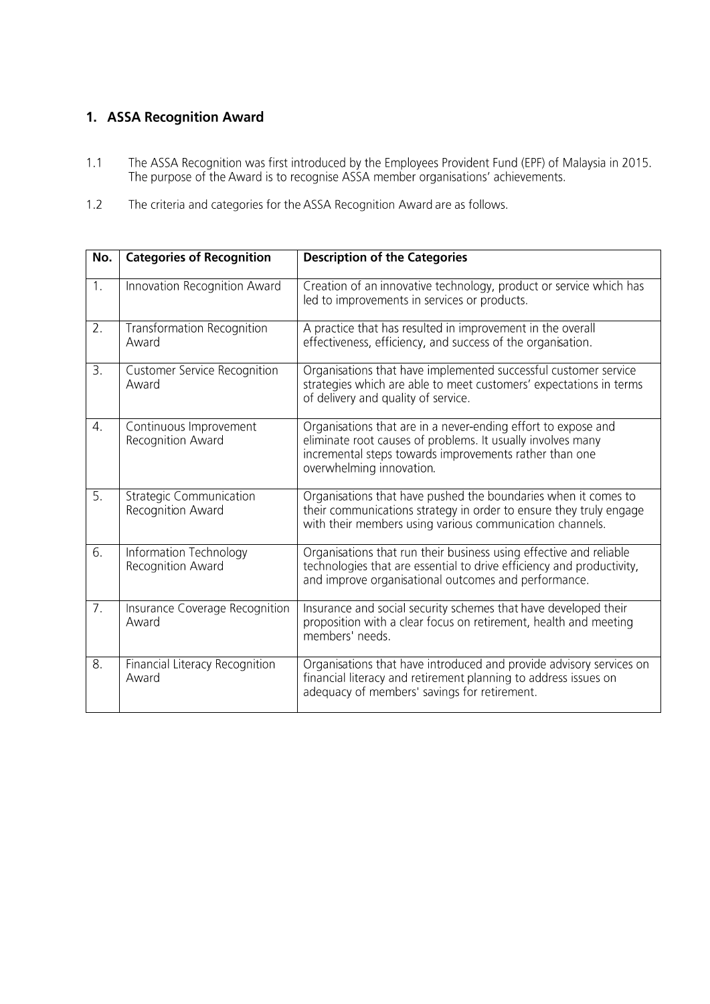## 1. ASSA Recognition Award

- The ASSA Recognition was first introduced by the Employees Provident Fund (EPF) of Malaysia in 2015.<br>The purpose of the Award is to recognise ASSA member organisations' achievements.  $1.1$
- $1.2$ The criteria and categories for the ASSA Recognition Award are as follows.

| No.              | <b>Categories of Recognition</b>                    | <b>Description of the Categories</b>                                                                                                                                                                               |
|------------------|-----------------------------------------------------|--------------------------------------------------------------------------------------------------------------------------------------------------------------------------------------------------------------------|
| 1.               | Innovation Recognition Award                        | Creation of an innovative technology, product or service which has<br>led to improvements in services or products.                                                                                                 |
| 2.               | <b>Transformation Recognition</b><br>Award          | A practice that has resulted in improvement in the overall<br>effectiveness, efficiency, and success of the organisation.                                                                                          |
| $\overline{3}$ . | <b>Customer Service Recognition</b><br>Award        | Organisations that have implemented successful customer service<br>strategies which are able to meet customers' expectations in terms<br>of delivery and quality of service.                                       |
| 4.               | Continuous Improvement<br>Recognition Award         | Organisations that are in a never-ending effort to expose and<br>eliminate root causes of problems. It usually involves many<br>incremental steps towards improvements rather than one<br>overwhelming innovation. |
| 5.               | <b>Strategic Communication</b><br>Recognition Award | Organisations that have pushed the boundaries when it comes to<br>their communications strategy in order to ensure they truly engage<br>with their members using various communication channels.                   |
| $\overline{6}$ . | Information Technology<br>Recognition Award         | Organisations that run their business using effective and reliable<br>technologies that are essential to drive efficiency and productivity,<br>and improve organisational outcomes and performance.                |
| $\overline{7}$ . | Insurance Coverage Recognition<br>Award             | Insurance and social security schemes that have developed their<br>proposition with a clear focus on retirement, health and meeting<br>members' needs.                                                             |
| $\overline{8}$ . | Financial Literacy Recognition<br>Award             | Organisations that have introduced and provide advisory services on<br>financial literacy and retirement planning to address issues on<br>adequacy of members' savings for retirement.                             |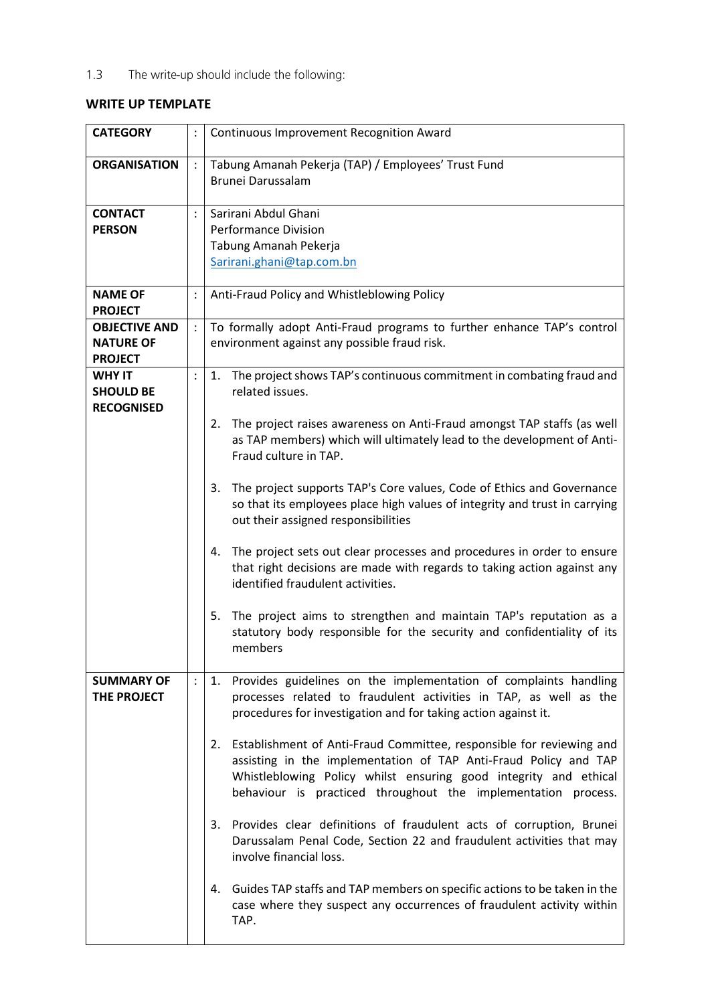The write-up should include the following:  $1.3$ 

## **WRITE UP TEMPLATE**

| <b>CATEGORY</b>                                            |                | <b>Continuous Improvement Recognition Award</b>                                                                                                                                                                                                                                     |  |
|------------------------------------------------------------|----------------|-------------------------------------------------------------------------------------------------------------------------------------------------------------------------------------------------------------------------------------------------------------------------------------|--|
| <b>ORGANISATION</b>                                        |                | Tabung Amanah Pekerja (TAP) / Employees' Trust Fund<br><b>Brunei Darussalam</b>                                                                                                                                                                                                     |  |
| <b>CONTACT</b><br><b>PERSON</b>                            |                | Sarirani Abdul Ghani<br><b>Performance Division</b><br>Tabung Amanah Pekerja<br>Sarirani.ghani@tap.com.bn                                                                                                                                                                           |  |
| <b>NAME OF</b><br><b>PROJECT</b>                           | $\vdots$       | Anti-Fraud Policy and Whistleblowing Policy                                                                                                                                                                                                                                         |  |
| <b>OBJECTIVE AND</b><br><b>NATURE OF</b><br><b>PROJECT</b> | $\ddot{\cdot}$ | To formally adopt Anti-Fraud programs to further enhance TAP's control<br>environment against any possible fraud risk.                                                                                                                                                              |  |
| <b>WHY IT</b><br><b>SHOULD BE</b><br><b>RECOGNISED</b>     | $\ddot{\cdot}$ | The project shows TAP's continuous commitment in combating fraud and<br>1.<br>related issues.<br>The project raises awareness on Anti-Fraud amongst TAP staffs (as well<br>2.<br>as TAP members) which will ultimately lead to the development of Anti-                             |  |
|                                                            |                | Fraud culture in TAP.<br>The project supports TAP's Core values, Code of Ethics and Governance<br>3.<br>so that its employees place high values of integrity and trust in carrying<br>out their assigned responsibilities                                                           |  |
|                                                            |                | The project sets out clear processes and procedures in order to ensure<br>4.<br>that right decisions are made with regards to taking action against any<br>identified fraudulent activities.                                                                                        |  |
|                                                            |                | The project aims to strengthen and maintain TAP's reputation as a<br>5.<br>statutory body responsible for the security and confidentiality of its<br>members                                                                                                                        |  |
| <b>SUMMARY OF</b><br>THE PROJECT                           | $\vdots$       | Provides guidelines on the implementation of complaints handling<br>1.<br>processes related to fraudulent activities in TAP, as well as the<br>procedures for investigation and for taking action against it.                                                                       |  |
|                                                            |                | Establishment of Anti-Fraud Committee, responsible for reviewing and<br>2.<br>assisting in the implementation of TAP Anti-Fraud Policy and TAP<br>Whistleblowing Policy whilst ensuring good integrity and ethical<br>behaviour is practiced throughout the implementation process. |  |
|                                                            |                | Provides clear definitions of fraudulent acts of corruption, Brunei<br>3.<br>Darussalam Penal Code, Section 22 and fraudulent activities that may<br>involve financial loss.                                                                                                        |  |
|                                                            |                | 4. Guides TAP staffs and TAP members on specific actions to be taken in the<br>case where they suspect any occurrences of fraudulent activity within<br>TAP.                                                                                                                        |  |